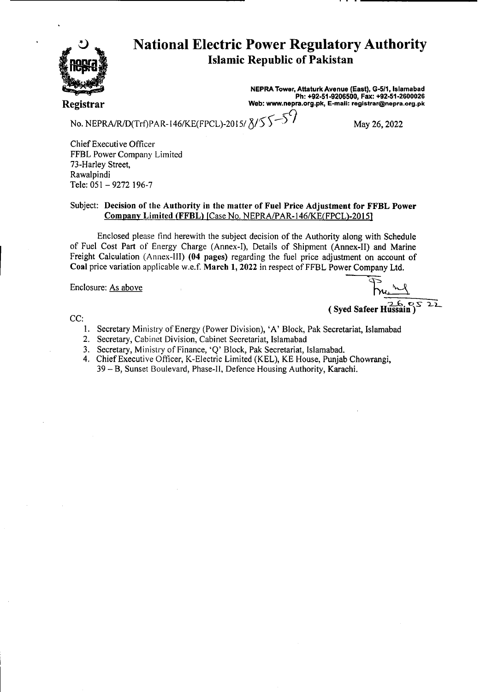

# National Electric Power Regulatory Authority **Islamic Republic of Pakistan**

**NEPRA Tower, Attaturk Avenue (East), G-511, Islamabad Ph: +92-51-9206500, Fax: +92-51-2600026 Registrar Web: www.nepra.org.pk, E-mail: registrar@nepra.org.pk** 

No. NEPRA/R/D(Trf)PAR-146/KE(FPCL)-2015/ $8/555$ 

Chief Executive Officer FFBL Power Company Limited 73-Harley Street, Rawalpindi Tele: 051 — 9272 196-7

#### Subject: **Decision** of the Authority in the matter of Fuel Price Adjustment **for FFBL** Power Company Limited (FFBL) [Case No. NEPRA/PAR-146/KE(FPCL)-2015]

Enclosed please find herewith the subject decision of the Authority along with Schedule of Fuel Cost Part of Energy Charge (Annex-I), Details of Shipment (Annex-TI) and Marine Freight Calculation (Annex-Ill) **(04** pages) regarding the fuel price adjustment on account of Coal price variation applicable w.e.f. March 1, 2022 in respect of FFBL Power Company Ltd.

Enclosure: As above

2.6. **c's** (Syed Safeer Hussain)  $22$ 

CC:

- 1. Secretary Ministry of Energy (Power Division), 'A' Block, Pak Secretariat, Islamabad
- 2. Secretary, Cabinet Division, Cabinet Secretariat, Islamabad
- 3. Secretary, Ministry of Finance, 'Q' Block, Pak Secretariat, Islamabad.
- 4. Chief Executive Officer, K-Electric Limited (KEL), KE House, Punjab Chowrangi, 39 — B, Sunset Boulevard, Phase-Il, Defence Housing Authority, Karachi.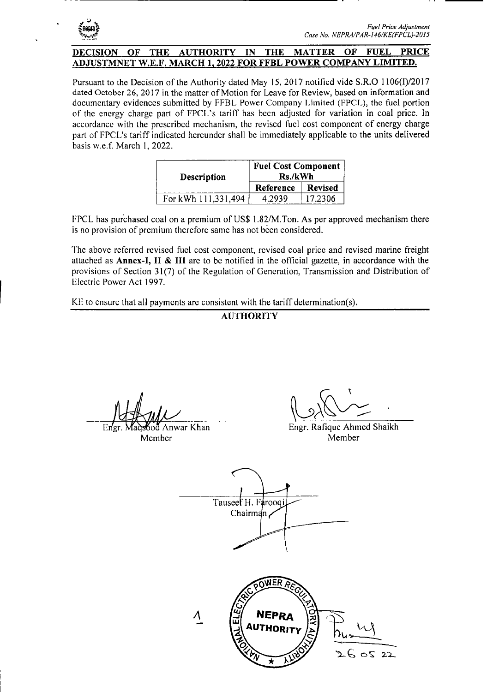

#### **DECISION OF THE AUTHORITY IN THE MATTER OF FUEL PRICE ADJUSTMNET W.E.F. MARCH 1. 2022 FOR FFBL POWER COMPANY LIMITED.**

Pursuant to the Decision of the Authority dated May 15, 2017 notified vide **S.R.O 1106(1)/2017**  dated October 26, 2017 in the matter of Motion for Leave for Review, based on information and documentary evidences submitted by FFBL Power Company Limited (FPCL), the fuel portion of the energy charge part of FPCL's tariff has been adjusted for variation in coal price. In accordance with the prescribed mechanism, the revised fuel cost component of energy charge part of FPCL's tariff indicated hereunder shall be immediately applicable to the units delivered basis w.e.f. March 1, 2022.

| Description         | <b>Fuel Cost Component</b><br>Rs./kWh |                |
|---------------------|---------------------------------------|----------------|
|                     | Reference                             | <b>Revised</b> |
| For kWh 111,331,494 | 4.2939                                | 17.2306        |

FPCL has purchased coal on a premium of US\$ 1.82/M.Ton. As per approved mechanism there is no provision of premium therefore same has not been considered.

The above referred revised fuel cost component, revised coal price and revised marine freight attached as **Annex-I, II & Ill** arc to be notified in the official gazette, in accordance with the provisions of Section 31(7) of the Regulation of Generation, Transmission and Distribution of Electric Power Act 1997.

KE to ensure that all payments are consistent with the tariff determination(s).

## **AUTHORITY**

14 July

Engr. Madsood Anwar Khan Member

Engr. Rafique Ahmed Shaikh Member

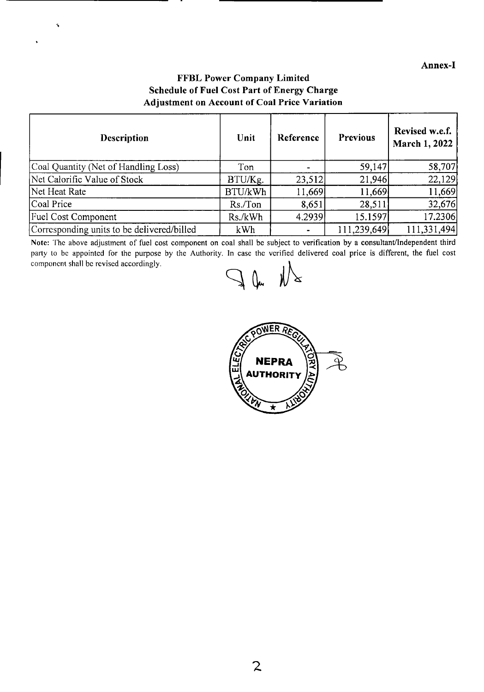### **Annex-I**

## **FFBL Power Company Limited Schedule of Fuel Cost Part of Energy Charge Adjustment on Account of Coal Price Variation**

k.

| <b>Description</b>                         | Unit    | Reference | <b>Previous</b> | Revised w.e.f.<br>March 1, 2022 |
|--------------------------------------------|---------|-----------|-----------------|---------------------------------|
| Coal Quantity (Net of Handling Loss)       | Ton     |           | 59,147          | 58,707                          |
| Net Calorific Value of Stock               | BTU/Kg. | 23,512    | 21,946          | 22,129                          |
| Net Heat Rate                              | BTU/kWh | 11,669    | 11,669          | 11,669                          |
| Coal Price                                 | Rs./Ton | 8,651     | 28,511          | 32,676                          |
| <b>Fuel Cost Component</b>                 | Rs./kWh | 4.2939    | 15.1597         | 17.2306                         |
| Corresponding units to be delivered/billed | kWh     |           | 111,239,649     | 111,331,494                     |

Note: The above adjustment of fuel cost component on coal shall be subject to verification by a consultant/Independent third party to be appointed for the purpose by the Authority. In case the verified delivered coal price is different, the fuel cost component shall be revised accordingly.

 $\int$  (kg

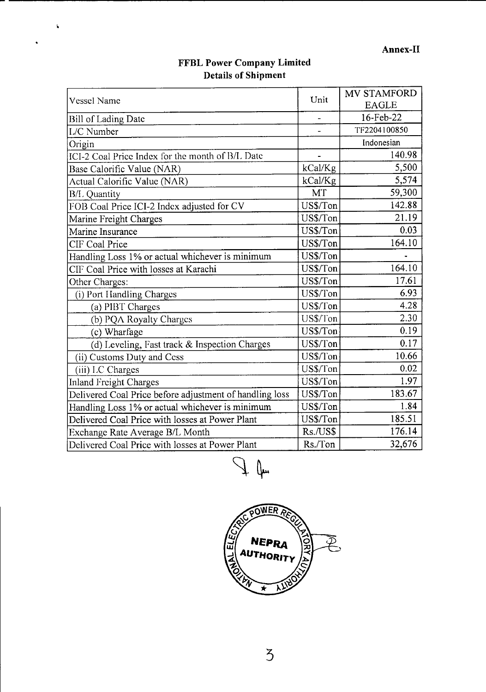# **FFBL Power Company Limited 1)etails of Shipment**

 $\ddot{\bullet}$ 

 $\hat{\mathbf{r}}$ 

| <b>Vessel Name</b>                                      | Unit      | MV STAMFORD<br><b>EAGLE</b> |
|---------------------------------------------------------|-----------|-----------------------------|
|                                                         |           | 16-Feb-22                   |
| <b>Bill of Lading Date</b><br>L/C Number                |           | TF2204100850                |
|                                                         |           | Indonesian                  |
| Origin                                                  |           | 140.98                      |
| ICI-2 Coal Price Index for the month of B/L Date        |           |                             |
| Base Calorific Value (NAR)                              | kCal/Kg   | 5,500                       |
| Actual Calorific Value (NAR)                            | kCal/Kg   | 5,574                       |
| <b>B/L</b> Quantity                                     | <b>МТ</b> | 59,300                      |
| FOB Coal Price ICI-2 Index adjusted for CV              | US\$/Ton  | 142.88                      |
| Marine Freight Charges                                  | US\$/Ton  | 21.19                       |
| Marine Insurance                                        | US\$/Ton  | 0.03                        |
| CIF Coal Price                                          | US\$/Ton  | 164.10                      |
| Handling Loss 1% or actual whichever is minimum         | US\$/Ton  |                             |
| CIF Coal Price with losses at Karachi                   | US\$/Ton  | 164.10                      |
| Other Charges:                                          | US\$/Ton  | 17.61                       |
| (i) Port Handling Charges                               | US\$/Ton  | 6.93                        |
| (a) PIBT Charges                                        | US\$/Ton  | 4.28                        |
| (b) PQA Royalty Charges                                 | US\$/Ton  | 2.30                        |
| (c) Wharfage                                            | US\$/Ton  | 0.19                        |
| (d) Leveling, Fast track & Inspection Charges           | US\$/Ton  | 0.17                        |
| (ii) Customs Duty and Cess                              | US\$/Ton  | 10.66                       |
| (iii) LC Charges                                        | US\$/Ton  | 0.02                        |
| <b>Inland Freight Charges</b>                           | US\$/Ton  | 1.97                        |
| Delivered Coal Price before adjustment of handling loss | US\$/Ton  | 183.67                      |
| Handling Loss 1% or actual whichever is minimum         | US\$/Ton  | 1.84                        |
| Delivered Coal Price with losses at Power Plant         | US\$/Ton  | 185.51                      |
| Exchange Rate Average B/L Month                         | Rs./US\$  | 176.14                      |
| Delivered Coal Price with losses at Power Plant         | Rs./Ton   | 32,676                      |

 $\frac{1}{\sqrt{2}}$  (fm